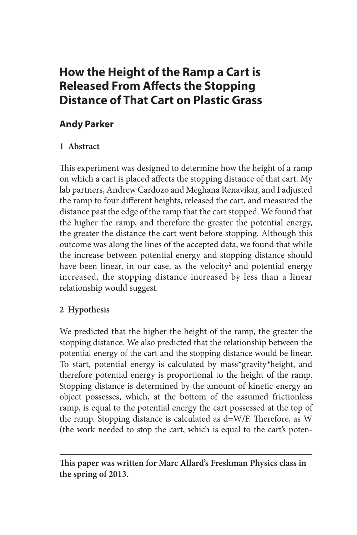# **How the Height of the Ramp a Cart is Released From Affects the Stopping Distance of That Cart on Plastic Grass**

# **Andy Parker**

## **1 Abstract**

This experiment was designed to determine how the height of a ramp on which a cart is placed affects the stopping distance of that cart. My lab partners, Andrew Cardozo and Meghana Renavikar, and I adjusted the ramp to four different heights, released the cart, and measured the distance past the edge of the ramp that the cart stopped. We found that the higher the ramp, and therefore the greater the potential energy, the greater the distance the cart went before stopping. Although this outcome was along the lines of the accepted data, we found that while the increase between potential energy and stopping distance should have been linear, in our case, as the velocity<sup>2</sup> and potential energy increased, the stopping distance increased by less than a linear relationship would suggest.

# **2 Hypothesis**

We predicted that the higher the height of the ramp, the greater the stopping distance. We also predicted that the relationship between the potential energy of the cart and the stopping distance would be linear. To start, potential energy is calculated by mass\*gravity\*height, and therefore potential energy is proportional to the height of the ramp. Stopping distance is determined by the amount of kinetic energy an object possesses, which, at the bottom of the assumed frictionless ramp, is equal to the potential energy the cart possessed at the top of the ramp. Stopping distance is calculated as d=W/F. Therefore, as W (the work needed to stop the cart, which is equal to the cart's poten-

**This paper was written for Marc Allard's Freshman Physics class in the spring of 2013.**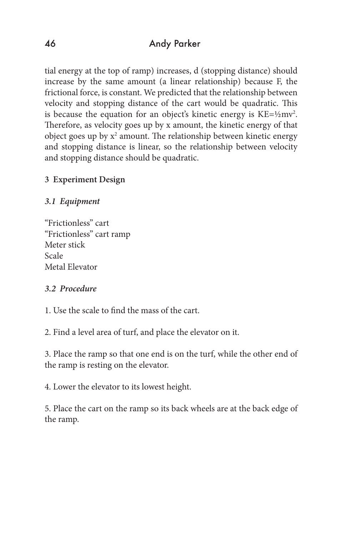tial energy at the top of ramp) increases, d (stopping distance) should increase by the same amount (a linear relationship) because F, the frictional force, is constant. We predicted that the relationship between velocity and stopping distance of the cart would be quadratic. This is because the equation for an object's kinetic energy is  $KE = \frac{1}{2}mv^2$ . Therefore, as velocity goes up by x amount, the kinetic energy of that object goes up by  $x^2$  amount. The relationship between kinetic energy and stopping distance is linear, so the relationship between velocity and stopping distance should be quadratic.

# **3 Experiment Design**

## *3.1 Equipment*

"Frictionless" cart "Frictionless" cart ramp Meter stick Scale Metal Elevator

#### *3.2 Procedure*

1. Use the scale to find the mass of the cart.

2. Find a level area of turf, and place the elevator on it.

3. Place the ramp so that one end is on the turf, while the other end of the ramp is resting on the elevator.

4. Lower the elevator to its lowest height.

5. Place the cart on the ramp so its back wheels are at the back edge of the ramp.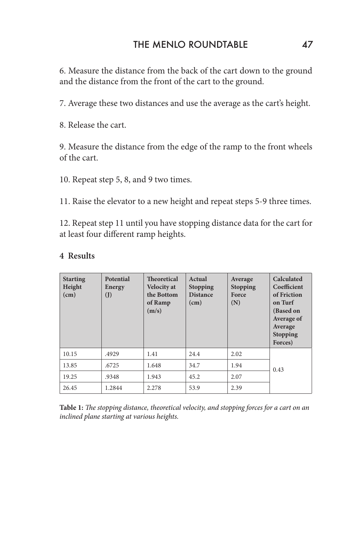6. Measure the distance from the back of the cart down to the ground and the distance from the front of the cart to the ground.

7. Average these two distances and use the average as the cart's height.

8. Release the cart.

9. Measure the distance from the edge of the ramp to the front wheels of the cart.

10. Repeat step 5, 8, and 9 two times.

11. Raise the elevator to a new height and repeat steps 5-9 three times.

12. Repeat step 11 until you have stopping distance data for the cart for at least four different ramp heights.

| <b>Starting</b><br>Height<br>(cm) | <b>Potential</b><br>Energy<br>(I) | <b>Theoretical</b><br><b>Velocity at</b><br>the Bottom<br>of Ramp<br>(m/s) | Actual<br><b>Stopping</b><br><b>Distance</b><br>(cm) | Average<br><b>Stopping</b><br>Force<br>(N) | Calculated<br>Coefficient<br>of Friction<br>on Turf<br>(Based on<br>Average of<br>Average<br><b>Stopping</b><br>Forces) |
|-----------------------------------|-----------------------------------|----------------------------------------------------------------------------|------------------------------------------------------|--------------------------------------------|-------------------------------------------------------------------------------------------------------------------------|
| 10.15                             | .4929                             | 1.41                                                                       | 24.4                                                 | 2.02                                       | 0.43                                                                                                                    |
| 13.85                             | .6725                             | 1.648                                                                      | 34.7                                                 | 1.94                                       |                                                                                                                         |
| 19.25                             | .9348                             | 1.943                                                                      | 45.2                                                 | 2.07                                       |                                                                                                                         |
| 26.45                             | 1.2844                            | 2.278                                                                      | 53.9                                                 | 2.39                                       |                                                                                                                         |

#### **4 Results**

**Table 1:** *The stopping distance, theoretical velocity, and stopping forces for a cart on an inclined plane starting at various heights.*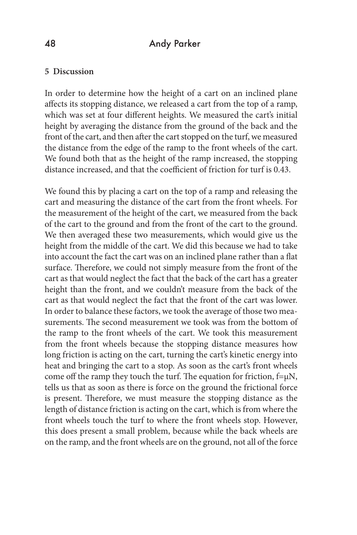#### 48 Andy Parker

#### **5 Discussion**

In order to determine how the height of a cart on an inclined plane affects its stopping distance, we released a cart from the top of a ramp, which was set at four different heights. We measured the cart's initial height by averaging the distance from the ground of the back and the front of the cart, and then after the cart stopped on the turf, we measured the distance from the edge of the ramp to the front wheels of the cart. We found both that as the height of the ramp increased, the stopping distance increased, and that the coefficient of friction for turf is 0.43.

We found this by placing a cart on the top of a ramp and releasing the cart and measuring the distance of the cart from the front wheels. For the measurement of the height of the cart, we measured from the back of the cart to the ground and from the front of the cart to the ground. We then averaged these two measurements, which would give us the height from the middle of the cart. We did this because we had to take into account the fact the cart was on an inclined plane rather than a flat surface. Therefore, we could not simply measure from the front of the cart as that would neglect the fact that the back of the cart has a greater height than the front, and we couldn't measure from the back of the cart as that would neglect the fact that the front of the cart was lower. In order to balance these factors, we took the average of those two measurements. The second measurement we took was from the bottom of the ramp to the front wheels of the cart. We took this measurement from the front wheels because the stopping distance measures how long friction is acting on the cart, turning the cart's kinetic energy into heat and bringing the cart to a stop. As soon as the cart's front wheels come off the ramp they touch the turf. The equation for friction,  $f=µN$ , tells us that as soon as there is force on the ground the frictional force is present. Therefore, we must measure the stopping distance as the length of distance friction is acting on the cart, which is from where the front wheels touch the turf to where the front wheels stop. However, this does present a small problem, because while the back wheels are on the ramp, and the front wheels are on the ground, not all of the force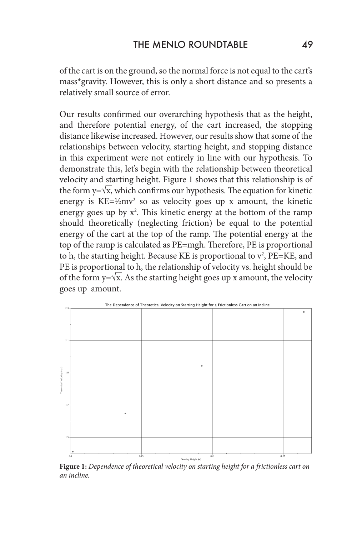of the cart is on the ground, so the normal force is not equal to the cart's mass\*gravity. However, this is only a short distance and so presents a relatively small source of error.

Our results confirmed our overarching hypothesis that as the height, and therefore potential energy, of the cart increased, the stopping distance likewise increased. However, our results show that some of the relationships between velocity, starting height, and stopping distance in this experiment were not entirely in line with our hypothesis. To demonstrate this, let's begin with the relationship between theoretical velocity and starting height. Figure 1 shows that this relationship is of the form  $y = \sqrt{x}$ , which confirms our hypothesis. The equation for kinetic energy is  $KE = \frac{1}{2}mv^2$  so as velocity goes up x amount, the kinetic energy goes up by  $x^2$ . This kinetic energy at the bottom of the ramp should theoretically (neglecting friction) be equal to the potential energy of the cart at the top of the ramp. The potential energy at the top of the ramp is calculated as PE=mgh. Therefore, PE is proportional to h, the starting height. Because KE is proportional to  $v^2$ , PE=KE, and PE is proportional to h, the relationship of velocity vs. height should be of the form y= $\sqrt{x}$ . As the starting height goes up x amount, the velocity goes up amount.



**Figure 1:** *Dependence of theoretical velocity on starting height for a frictionless cart on an incline.*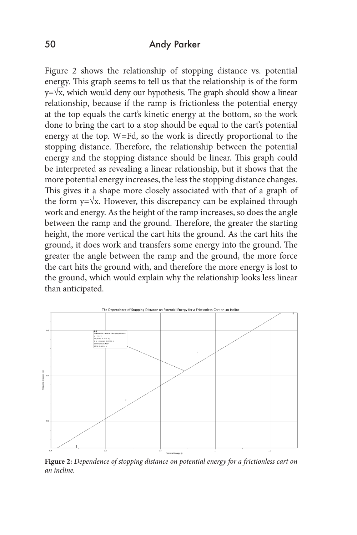#### 50 Andy Parker

Figure 2 shows the relationship of stopping distance vs. potential energy. This graph seems to tell us that the relationship is of the form  $y = \sqrt{x}$ , which would deny our hypothesis. The graph should show a linear relationship, because if the ramp is frictionless the potential energy at the top equals the cart's kinetic energy at the bottom, so the work done to bring the cart to a stop should be equal to the cart's potential energy at the top. W=Fd, so the work is directly proportional to the stopping distance. Therefore, the relationship between the potential energy and the stopping distance should be linear. This graph could be interpreted as revealing a linear relationship, but it shows that the more potential energy increases, the less the stopping distance changes. This gives it a shape more closely associated with that of a graph of the form  $y = \sqrt{x}$ . However, this discrepancy can be explained through work and energy. As the height of the ramp increases, so does the angle between the ramp and the ground. Therefore, the greater the starting height, the more vertical the cart hits the ground. As the cart hits the ground, it does work and transfers some energy into the ground. The greater the angle between the ramp and the ground, the more force the cart hits the ground with, and therefore the more energy is lost to the ground, which would explain why the relationship looks less linear than anticipated.



**Figure 2:** *Dependence of stopping distance on potential energy for a frictionless cart on an incline.*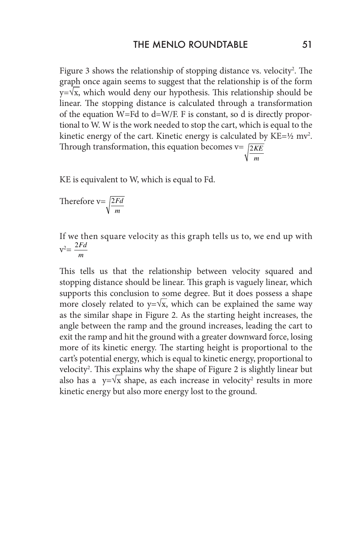Figure 3 shows the relationship of stopping distance vs. velocity<sup>2</sup>. The graph once again seems to suggest that the relationship is of the form  $y = \sqrt{x}$ , which would deny our hypothesis. This relationship should be linear. The stopping distance is calculated through a transformation of the equation W=Fd to d=W/F. F is constant, so d is directly proportional to W. W is the work needed to stop the cart, which is equal to the kinetic energy of the cart. Kinetic energy is calculated by  $KE = \frac{1}{2} m v^2$ . Through transformation, this equation becomes v= 2*KE m*

KE is equivalent to W, which is equal to Fd.

Therefore v= 2*Fd m*

If we then square velocity as this graph tells us to, we end up with  $v^2 = \frac{2Fd}{m}$ *m*

This tells us that the relationship between velocity squared and stopping distance should be linear. This graph is vaguely linear, which supports this conclusion to some degree. But it does possess a shape more closely related to  $y = \sqrt{x}$ , which can be explained the same way as the similar shape in Figure 2. As the starting height increases, the angle between the ramp and the ground increases, leading the cart to exit the ramp and hit the ground with a greater downward force, losing more of its kinetic energy. The starting height is proportional to the cart's potential energy, which is equal to kinetic energy, proportional to velocity<sup>2</sup>. This explains why the shape of Figure 2 is slightly linear but also has a  $y=yx$  shape, as each increase in velocity<sup>2</sup> results in more kinetic energy but also more energy lost to the ground.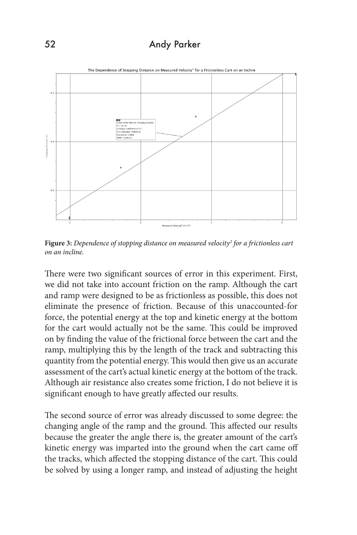# 52 Andy Parker



**Figure 3:** *Dependence of stopping distance on measured velocity2 for a frictionless cart on an incline.*

There were two significant sources of error in this experiment. First, we did not take into account friction on the ramp. Although the cart and ramp were designed to be as frictionless as possible, this does not eliminate the presence of friction. Because of this unaccounted-for force, the potential energy at the top and kinetic energy at the bottom for the cart would actually not be the same. This could be improved on by finding the value of the frictional force between the cart and the ramp, multiplying this by the length of the track and subtracting this quantity from the potential energy. This would then give us an accurate assessment of the cart's actual kinetic energy at the bottom of the track. Although air resistance also creates some friction, I do not believe it is significant enough to have greatly affected our results.

The second source of error was already discussed to some degree: the changing angle of the ramp and the ground. This affected our results because the greater the angle there is, the greater amount of the cart's kinetic energy was imparted into the ground when the cart came off the tracks, which affected the stopping distance of the cart. This could be solved by using a longer ramp, and instead of adjusting the height